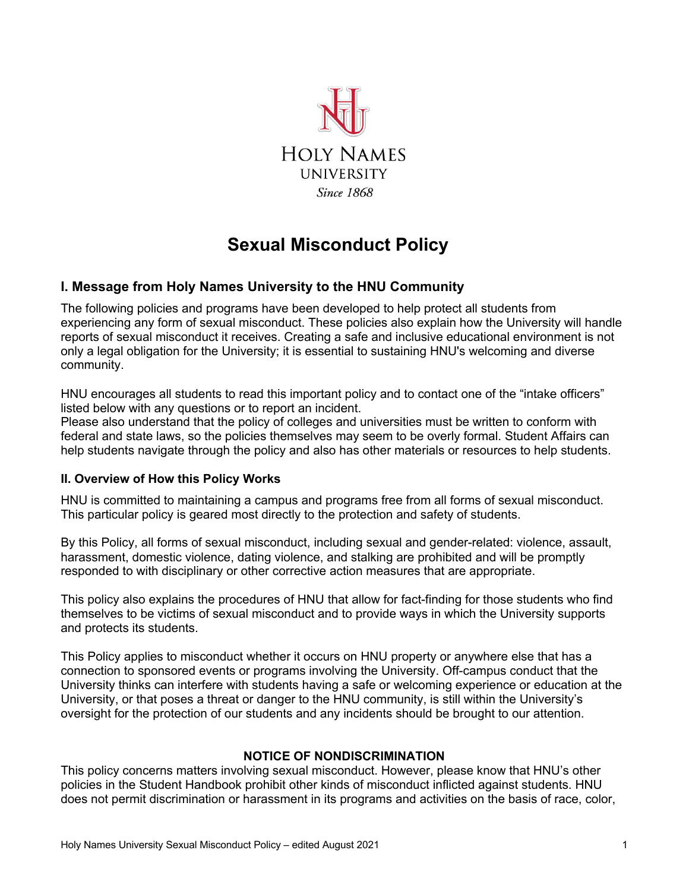

# **Sexual Misconduct Policy**

# **I. Message from Holy Names University to the HNU Community**

The following policies and programs have been developed to help protect all students from experiencing any form of sexual misconduct. These policies also explain how the University will handle reports of sexual misconduct it receives. Creating a safe and inclusive educational environment is not only a legal obligation for the University; it is essential to sustaining HNU's welcoming and diverse community.

HNU encourages all students to read this important policy and to contact one of the "intake officers" listed below with any questions or to report an incident.

Please also understand that the policy of colleges and universities must be written to conform with federal and state laws, so the policies themselves may seem to be overly formal. Student Affairs can help students navigate through the policy and also has other materials or resources to help students.

### **II. Overview of How this Policy Works**

HNU is committed to maintaining a campus and programs free from all forms of sexual misconduct. This particular policy is geared most directly to the protection and safety of students.

By this Policy, all forms of sexual misconduct, including sexual and gender-related: violence, assault, harassment, domestic violence, dating violence, and stalking are prohibited and will be promptly responded to with disciplinary or other corrective action measures that are appropriate.

This policy also explains the procedures of HNU that allow for fact-finding for those students who find themselves to be victims of sexual misconduct and to provide ways in which the University supports and protects its students.

This Policy applies to misconduct whether it occurs on HNU property or anywhere else that has a connection to sponsored events or programs involving the University. Off-campus conduct that the University thinks can interfere with students having a safe or welcoming experience or education at the University, or that poses a threat or danger to the HNU community, is still within the University's oversight for the protection of our students and any incidents should be brought to our attention.

### **NOTICE OF NONDISCRIMINATION**

This policy concerns matters involving sexual misconduct. However, please know that HNU's other policies in the Student Handbook prohibit other kinds of misconduct inflicted against students. HNU does not permit discrimination or harassment in its programs and activities on the basis of race, color,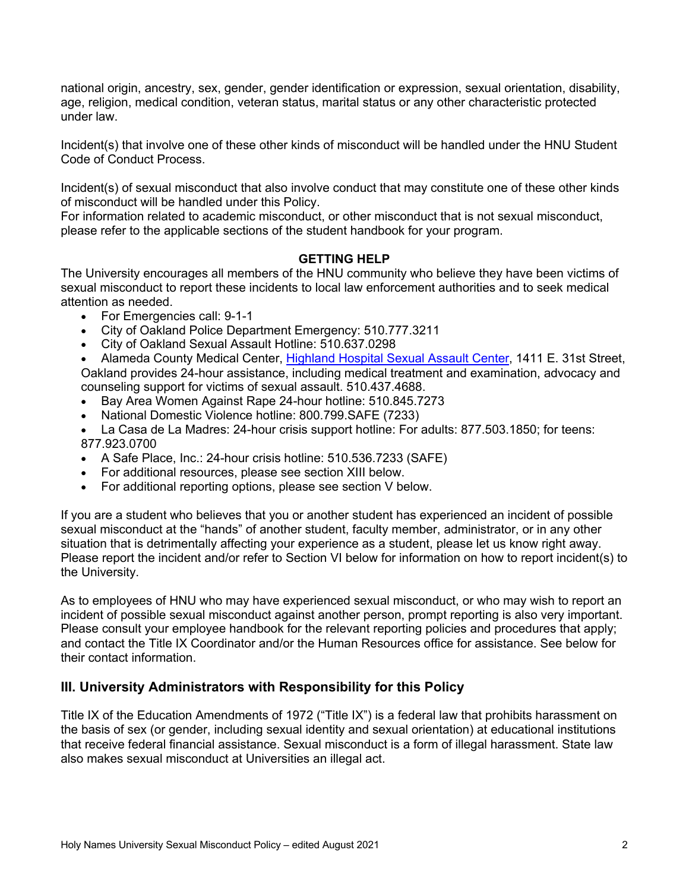national origin, ancestry, sex, gender, gender identification or expression, sexual orientation, disability, age, religion, medical condition, veteran status, marital status or any other characteristic protected under law.

Incident(s) that involve one of these other kinds of misconduct will be handled under the HNU Student Code of Conduct Process.

Incident(s) of sexual misconduct that also involve conduct that may constitute one of these other kinds of misconduct will be handled under this Policy.

For information related to academic misconduct, or other misconduct that is not sexual misconduct, please refer to the applicable sections of the student handbook for your program.

### **GETTING HELP**

The University encourages all members of the HNU community who believe they have been victims of sexual misconduct to report these incidents to local law enforcement authorities and to seek medical attention as needed.

- For Emergencies call: 9-1-1
- City of Oakland Police Department Emergency: 510.777.3211
- City of Oakland Sexual Assault Hotline: 510.637.0298

• Alameda County Medical Center, Highland Hospital Sexual Assault Center, 1411 E. 31st Street, Oakland provides 24-hour assistance, including medical treatment and examination, advocacy and counseling support for victims of sexual assault. 510.437.4688.

- Bay Area Women Against Rape 24-hour hotline: 510.845.7273
- National Domestic Violence hotline: 800.799.SAFE (7233)
- La Casa de La Madres: 24-hour crisis support hotline: For adults: 877.503.1850; for teens: 877.923.0700
- A Safe Place, Inc.: 24-hour crisis hotline: 510.536.7233 (SAFE)
- For additional resources, please see section XIII below.
- For additional reporting options, please see section V below.

If you are a student who believes that you or another student has experienced an incident of possible sexual misconduct at the "hands" of another student, faculty member, administrator, or in any other situation that is detrimentally affecting your experience as a student, please let us know right away. Please report the incident and/or refer to Section VI below for information on how to report incident(s) to the University.

As to employees of HNU who may have experienced sexual misconduct, or who may wish to report an incident of possible sexual misconduct against another person, prompt reporting is also very important. Please consult your employee handbook for the relevant reporting policies and procedures that apply; and contact the Title IX Coordinator and/or the Human Resources office for assistance. See below for their contact information.

### **III. University Administrators with Responsibility for this Policy**

Title IX of the Education Amendments of 1972 ("Title IX") is a federal law that prohibits harassment on the basis of sex (or gender, including sexual identity and sexual orientation) at educational institutions that receive federal financial assistance. Sexual misconduct is a form of illegal harassment. State law also makes sexual misconduct at Universities an illegal act.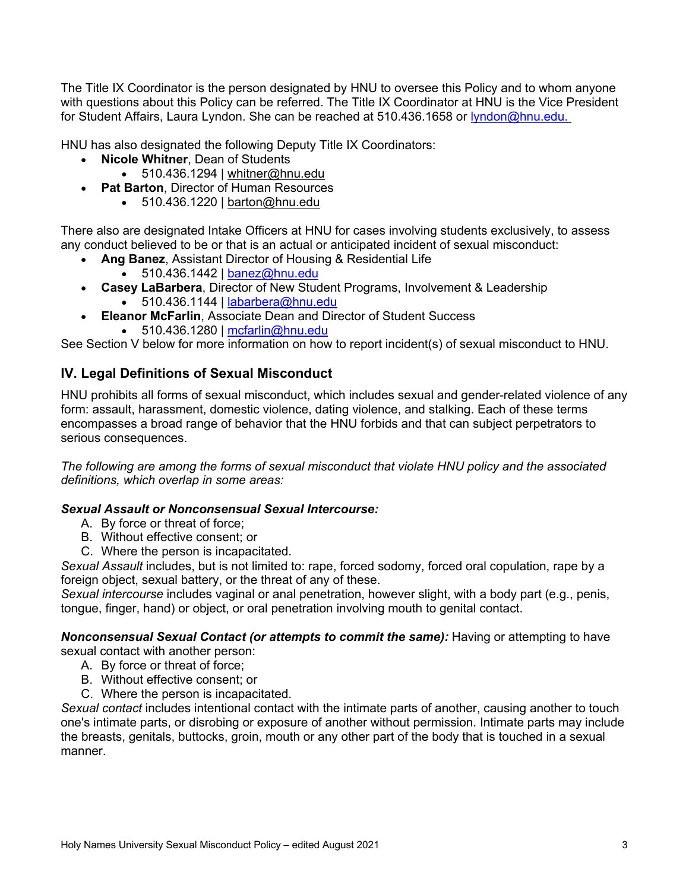The Title IX Coordinator is the person designated by HNU to oversee this Policy and to whom anyone with questions about this Policy can be referred. The Title IX Coordinator at HNU is the Vice President for Student Affairs, Laura Lyndon. She can be reached at 510.436.1658 or lyndon@hnu.edu.

HNU has also designated the following Deputy Title IX Coordinators:

- **Nicole Whitner**, Dean of Students
	- 510.436.1294 | whitner@hnu.edu
- **Pat Barton**, Director of Human Resources
	- $\bullet$  510.436.1220 | barton@hnu.edu

There also are designated Intake Officers at HNU for cases involving students exclusively, to assess any conduct believed to be or that is an actual or anticipated incident of sexual misconduct:

- **Ang Banez**, Assistant Director of Housing & Residential Life
- $\bullet$  510.436.1442 | banez@hnu.edu
- **Casey LaBarbera**, Director of New Student Programs, Involvement & Leadership  $\bullet$  510.436.1144 | labarbera@hnu.edu
- **Eleanor McFarlin**, Associate Dean and Director of Student Success
	- 510.436.1280 | mcfarlin@hnu.edu

See Section V below for more information on how to report incident(s) of sexual misconduct to HNU.

# **IV. Legal Definitions of Sexual Misconduct**

HNU prohibits all forms of sexual misconduct, which includes sexual and gender-related violence of any form: assault, harassment, domestic violence, dating violence, and stalking. Each of these terms encompasses a broad range of behavior that the HNU forbids and that can subject perpetrators to serious consequences.

*The following are among the forms of sexual misconduct that violate HNU policy and the associated definitions, which overlap in some areas:*

### *Sexual Assault or Nonconsensual Sexual Intercourse:*

- A. By force or threat of force;
- B. Without effective consent; or
- C. Where the person is incapacitated.

*Sexual Assault* includes, but is not limited to: rape, forced sodomy, forced oral copulation, rape by a foreign object, sexual battery, or the threat of any of these.

*Sexual intercourse* includes vaginal or anal penetration, however slight, with a body part (e.g., penis, tongue, finger, hand) or object, or oral penetration involving mouth to genital contact.

*Nonconsensual Sexual Contact (or attempts to commit the same):* Having or attempting to have sexual contact with another person:

- A. By force or threat of force;
- B. Without effective consent; or
- C. Where the person is incapacitated.

*Sexual contact* includes intentional contact with the intimate parts of another, causing another to touch one's intimate parts, or disrobing or exposure of another without permission. Intimate parts may include the breasts, genitals, buttocks, groin, mouth or any other part of the body that is touched in a sexual manner.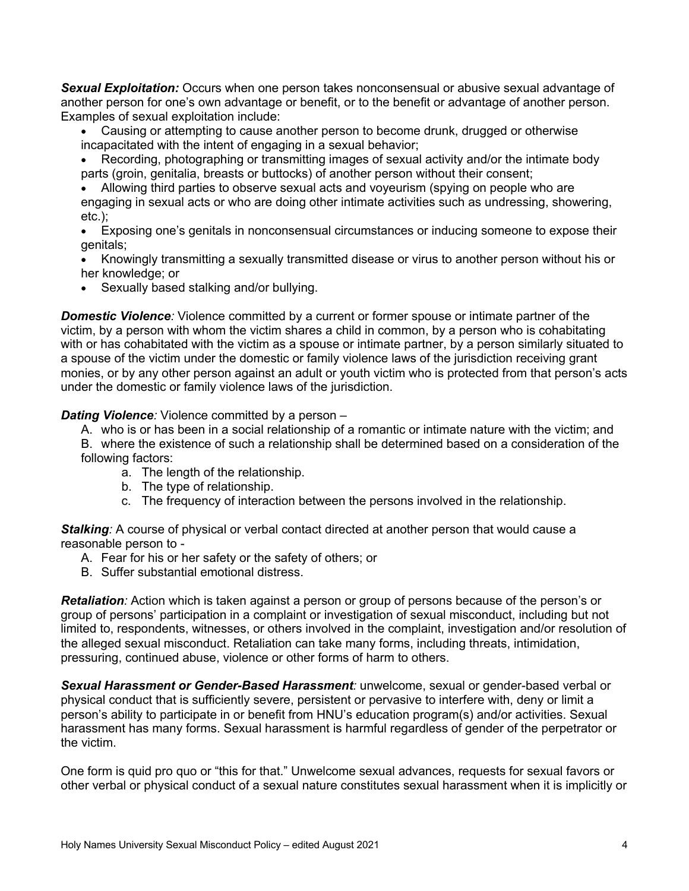*Sexual Exploitation:* Occurs when one person takes nonconsensual or abusive sexual advantage of another person for one's own advantage or benefit, or to the benefit or advantage of another person. Examples of sexual exploitation include:

- Causing or attempting to cause another person to become drunk, drugged or otherwise incapacitated with the intent of engaging in a sexual behavior;
- Recording, photographing or transmitting images of sexual activity and/or the intimate body parts (groin, genitalia, breasts or buttocks) of another person without their consent;
- Allowing third parties to observe sexual acts and voyeurism (spying on people who are engaging in sexual acts or who are doing other intimate activities such as undressing, showering, etc.);
- Exposing one's genitals in nonconsensual circumstances or inducing someone to expose their genitals;
- Knowingly transmitting a sexually transmitted disease or virus to another person without his or her knowledge; or
- Sexually based stalking and/or bullying.

**Domestic Violence**: Violence committed by a current or former spouse or intimate partner of the victim, by a person with whom the victim shares a child in common, by a person who is cohabitating with or has cohabitated with the victim as a spouse or intimate partner, by a person similarly situated to a spouse of the victim under the domestic or family violence laws of the jurisdiction receiving grant monies, or by any other person against an adult or youth victim who is protected from that person's acts under the domestic or family violence laws of the jurisdiction.

#### *Dating Violence:* Violence committed by a person –

A. who is or has been in a social relationship of a romantic or intimate nature with the victim; and B. where the existence of such a relationship shall be determined based on a consideration of the following factors:

- a. The length of the relationship.
- b. The type of relationship.
- c. The frequency of interaction between the persons involved in the relationship.

*Stalking:* A course of physical or verbal contact directed at another person that would cause a reasonable person to -

- A. Fear for his or her safety or the safety of others; or
- B. Suffer substantial emotional distress.

*Retaliation:* Action which is taken against a person or group of persons because of the person's or group of persons' participation in a complaint or investigation of sexual misconduct, including but not limited to, respondents, witnesses, or others involved in the complaint, investigation and/or resolution of the alleged sexual misconduct. Retaliation can take many forms, including threats, intimidation, pressuring, continued abuse, violence or other forms of harm to others.

*Sexual Harassment or Gender-Based Harassment:* unwelcome, sexual or gender-based verbal or physical conduct that is sufficiently severe, persistent or pervasive to interfere with, deny or limit a person's ability to participate in or benefit from HNU's education program(s) and/or activities. Sexual harassment has many forms. Sexual harassment is harmful regardless of gender of the perpetrator or the victim.

One form is quid pro quo or "this for that." Unwelcome sexual advances, requests for sexual favors or other verbal or physical conduct of a sexual nature constitutes sexual harassment when it is implicitly or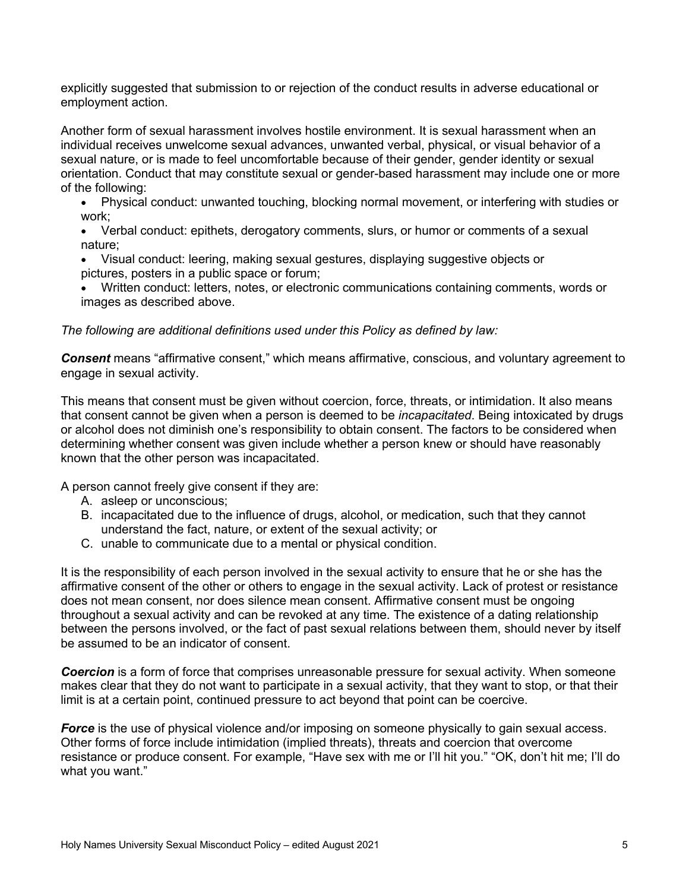explicitly suggested that submission to or rejection of the conduct results in adverse educational or employment action.

Another form of sexual harassment involves hostile environment. It is sexual harassment when an individual receives unwelcome sexual advances, unwanted verbal, physical, or visual behavior of a sexual nature, or is made to feel uncomfortable because of their gender, gender identity or sexual orientation. Conduct that may constitute sexual or gender-based harassment may include one or more of the following:

- Physical conduct: unwanted touching, blocking normal movement, or interfering with studies or work;
- Verbal conduct: epithets, derogatory comments, slurs, or humor or comments of a sexual nature;
- Visual conduct: leering, making sexual gestures, displaying suggestive objects or pictures, posters in a public space or forum;
- Written conduct: letters, notes, or electronic communications containing comments, words or images as described above.

### *The following are additional definitions used under this Policy as defined by law:*

*Consent* means "affirmative consent," which means affirmative, conscious, and voluntary agreement to engage in sexual activity.

This means that consent must be given without coercion, force, threats, or intimidation. It also means that consent cannot be given when a person is deemed to be *incapacitated*. Being intoxicated by drugs or alcohol does not diminish one's responsibility to obtain consent. The factors to be considered when determining whether consent was given include whether a person knew or should have reasonably known that the other person was incapacitated.

A person cannot freely give consent if they are:

- A. asleep or unconscious;
- B. incapacitated due to the influence of drugs, alcohol, or medication, such that they cannot understand the fact, nature, or extent of the sexual activity; or
- C. unable to communicate due to a mental or physical condition.

It is the responsibility of each person involved in the sexual activity to ensure that he or she has the affirmative consent of the other or others to engage in the sexual activity. Lack of protest or resistance does not mean consent, nor does silence mean consent. Affirmative consent must be ongoing throughout a sexual activity and can be revoked at any time. The existence of a dating relationship between the persons involved, or the fact of past sexual relations between them, should never by itself be assumed to be an indicator of consent.

*Coercion* is a form of force that comprises unreasonable pressure for sexual activity. When someone makes clear that they do not want to participate in a sexual activity, that they want to stop, or that their limit is at a certain point, continued pressure to act beyond that point can be coercive.

*Force* is the use of physical violence and/or imposing on someone physically to gain sexual access. Other forms of force include intimidation (implied threats), threats and coercion that overcome resistance or produce consent. For example, "Have sex with me or I'll hit you." "OK, don't hit me; I'll do what you want."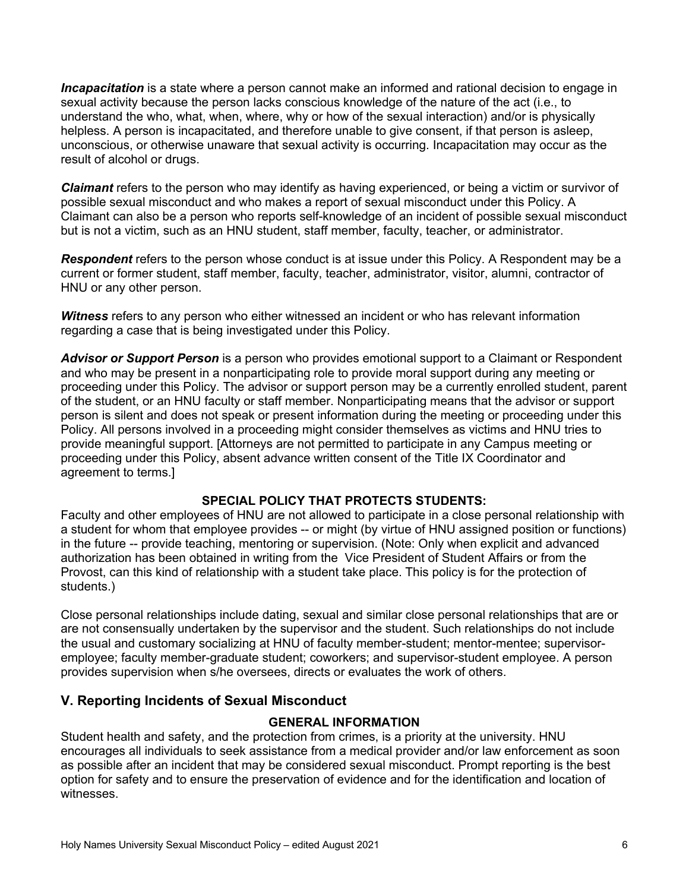*Incapacitation* is a state where a person cannot make an informed and rational decision to engage in sexual activity because the person lacks conscious knowledge of the nature of the act (i.e., to understand the who, what, when, where, why or how of the sexual interaction) and/or is physically helpless. A person is incapacitated, and therefore unable to give consent, if that person is asleep, unconscious, or otherwise unaware that sexual activity is occurring. Incapacitation may occur as the result of alcohol or drugs.

*Claimant* refers to the person who may identify as having experienced, or being a victim or survivor of possible sexual misconduct and who makes a report of sexual misconduct under this Policy. A Claimant can also be a person who reports self-knowledge of an incident of possible sexual misconduct but is not a victim, such as an HNU student, staff member, faculty, teacher, or administrator.

*Respondent* refers to the person whose conduct is at issue under this Policy. A Respondent may be a current or former student, staff member, faculty, teacher, administrator, visitor, alumni, contractor of HNU or any other person.

*Witness* refers to any person who either witnessed an incident or who has relevant information regarding a case that is being investigated under this Policy.

*Advisor or Support Person* is a person who provides emotional support to a Claimant or Respondent and who may be present in a nonparticipating role to provide moral support during any meeting or proceeding under this Policy. The advisor or support person may be a currently enrolled student, parent of the student, or an HNU faculty or staff member. Nonparticipating means that the advisor or support person is silent and does not speak or present information during the meeting or proceeding under this Policy. All persons involved in a proceeding might consider themselves as victims and HNU tries to provide meaningful support. [Attorneys are not permitted to participate in any Campus meeting or proceeding under this Policy, absent advance written consent of the Title IX Coordinator and agreement to terms.]

### **SPECIAL POLICY THAT PROTECTS STUDENTS:**

Faculty and other employees of HNU are not allowed to participate in a close personal relationship with a student for whom that employee provides -- or might (by virtue of HNU assigned position or functions) in the future -- provide teaching, mentoring or supervision. (Note: Only when explicit and advanced authorization has been obtained in writing from the Vice President of Student Affairs or from the Provost, can this kind of relationship with a student take place. This policy is for the protection of students.)

Close personal relationships include dating, sexual and similar close personal relationships that are or are not consensually undertaken by the supervisor and the student. Such relationships do not include the usual and customary socializing at HNU of faculty member-student; mentor-mentee; supervisoremployee; faculty member-graduate student; coworkers; and supervisor-student employee. A person provides supervision when s/he oversees, directs or evaluates the work of others.

### **V. Reporting Incidents of Sexual Misconduct**

#### **GENERAL INFORMATION**

Student health and safety, and the protection from crimes, is a priority at the university. HNU encourages all individuals to seek assistance from a medical provider and/or law enforcement as soon as possible after an incident that may be considered sexual misconduct. Prompt reporting is the best option for safety and to ensure the preservation of evidence and for the identification and location of witnesses.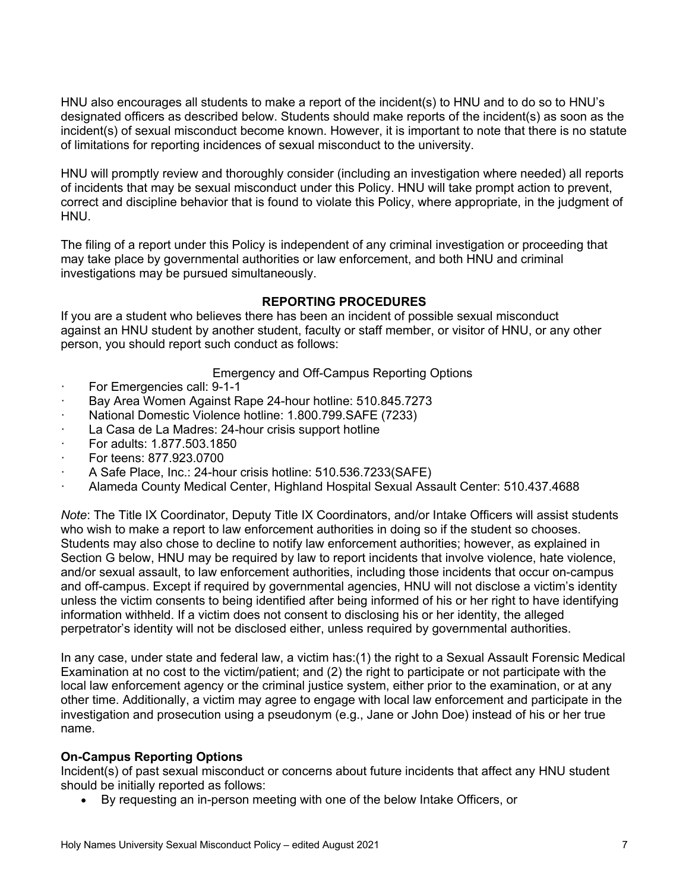HNU also encourages all students to make a report of the incident(s) to HNU and to do so to HNU's designated officers as described below. Students should make reports of the incident(s) as soon as the incident(s) of sexual misconduct become known. However, it is important to note that there is no statute of limitations for reporting incidences of sexual misconduct to the university.

HNU will promptly review and thoroughly consider (including an investigation where needed) all reports of incidents that may be sexual misconduct under this Policy. HNU will take prompt action to prevent, correct and discipline behavior that is found to violate this Policy, where appropriate, in the judgment of HNU.

The filing of a report under this Policy is independent of any criminal investigation or proceeding that may take place by governmental authorities or law enforcement, and both HNU and criminal investigations may be pursued simultaneously.

# **REPORTING PROCEDURES**

If you are a student who believes there has been an incident of possible sexual misconduct against an HNU student by another student, faculty or staff member, or visitor of HNU, or any other person, you should report such conduct as follows:

Emergency and Off-Campus Reporting Options

- For Emergencies call: 9-1-1
- Bay Area Women Against Rape 24-hour hotline: 510.845.7273
- · National Domestic Violence hotline: 1.800.799.SAFE (7233)
- La Casa de La Madres: 24-hour crisis support hotline
- · For adults: 1.877.503.1850
- · For teens: 877.923.0700
- · A Safe Place, Inc.: 24-hour crisis hotline: 510.536.7233(SAFE)
- · Alameda County Medical Center, Highland Hospital Sexual Assault Center: 510.437.4688

*Note*: The Title IX Coordinator, Deputy Title IX Coordinators, and/or Intake Officers will assist students who wish to make a report to law enforcement authorities in doing so if the student so chooses. Students may also chose to decline to notify law enforcement authorities; however, as explained in Section G below, HNU may be required by law to report incidents that involve violence, hate violence, and/or sexual assault, to law enforcement authorities, including those incidents that occur on-campus and off-campus. Except if required by governmental agencies, HNU will not disclose a victim's identity unless the victim consents to being identified after being informed of his or her right to have identifying information withheld. If a victim does not consent to disclosing his or her identity, the alleged perpetrator's identity will not be disclosed either, unless required by governmental authorities.

In any case, under state and federal law, a victim has:(1) the right to a Sexual Assault Forensic Medical Examination at no cost to the victim/patient; and (2) the right to participate or not participate with the local law enforcement agency or the criminal justice system, either prior to the examination, or at any other time. Additionally, a victim may agree to engage with local law enforcement and participate in the investigation and prosecution using a pseudonym (e.g., Jane or John Doe) instead of his or her true name.

# **On-Campus Reporting Options**

Incident(s) of past sexual misconduct or concerns about future incidents that affect any HNU student should be initially reported as follows:

• By requesting an in-person meeting with one of the below Intake Officers, or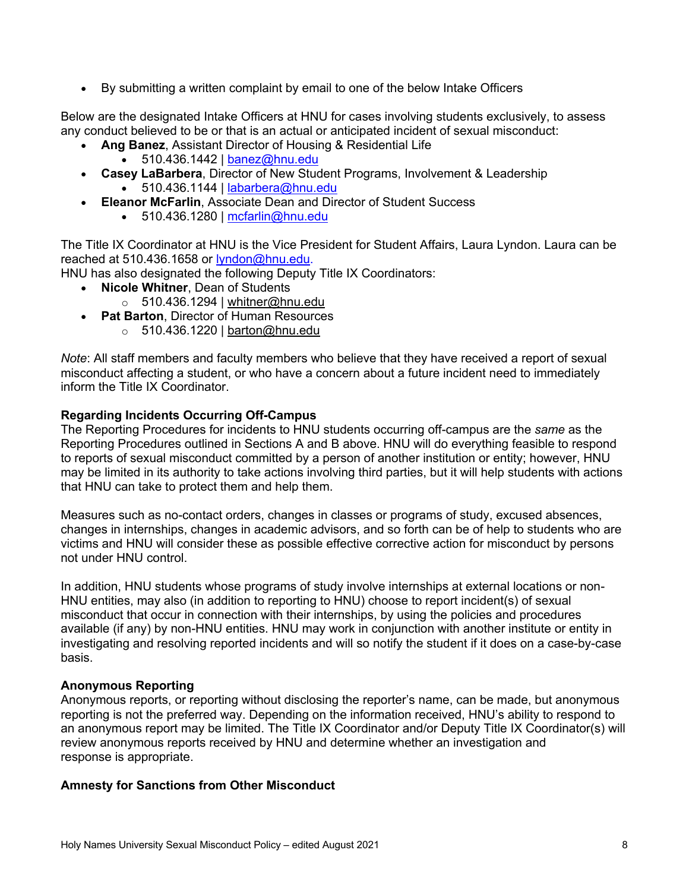• By submitting a written complaint by email to one of the below Intake Officers

Below are the designated Intake Officers at HNU for cases involving students exclusively, to assess any conduct believed to be or that is an actual or anticipated incident of sexual misconduct:

- **Ang Banez**, Assistant Director of Housing & Residential Life
	- $\bullet$  510.436.1442 | banez@hnu.edu
- **Casey LaBarbera**, Director of New Student Programs, Involvement & Leadership • 510.436.1144 | labarbera@hnu.edu
	- **Eleanor McFarlin**, Associate Dean and Director of Student Success
		- $\bullet$  510.436.1280 | mcfarlin@hnu.edu

The Title IX Coordinator at HNU is the Vice President for Student Affairs, Laura Lyndon. Laura can be reached at 510.436.1658 or lyndon@hnu.edu.

HNU has also designated the following Deputy Title IX Coordinators:

- **Nicole Whitner**, Dean of Students
	- $\circ$  510.436.1294 | whitner@hnu.edu
- **Pat Barton**, Director of Human Resources
	- $\circ$  510.436.1220 | barton@hnu.edu

*Note*: All staff members and faculty members who believe that they have received a report of sexual misconduct affecting a student, or who have a concern about a future incident need to immediately inform the Title IX Coordinator.

### **Regarding Incidents Occurring Off-Campus**

The Reporting Procedures for incidents to HNU students occurring off-campus are the *same* as the Reporting Procedures outlined in Sections A and B above. HNU will do everything feasible to respond to reports of sexual misconduct committed by a person of another institution or entity; however, HNU may be limited in its authority to take actions involving third parties, but it will help students with actions that HNU can take to protect them and help them.

Measures such as no-contact orders, changes in classes or programs of study, excused absences, changes in internships, changes in academic advisors, and so forth can be of help to students who are victims and HNU will consider these as possible effective corrective action for misconduct by persons not under HNU control.

In addition, HNU students whose programs of study involve internships at external locations or non-HNU entities, may also (in addition to reporting to HNU) choose to report incident(s) of sexual misconduct that occur in connection with their internships, by using the policies and procedures available (if any) by non-HNU entities. HNU may work in conjunction with another institute or entity in investigating and resolving reported incidents and will so notify the student if it does on a case-by-case basis.

#### **Anonymous Reporting**

Anonymous reports, or reporting without disclosing the reporter's name, can be made, but anonymous reporting is not the preferred way. Depending on the information received, HNU's ability to respond to an anonymous report may be limited. The Title IX Coordinator and/or Deputy Title IX Coordinator(s) will review anonymous reports received by HNU and determine whether an investigation and response is appropriate.

#### **Amnesty for Sanctions from Other Misconduct**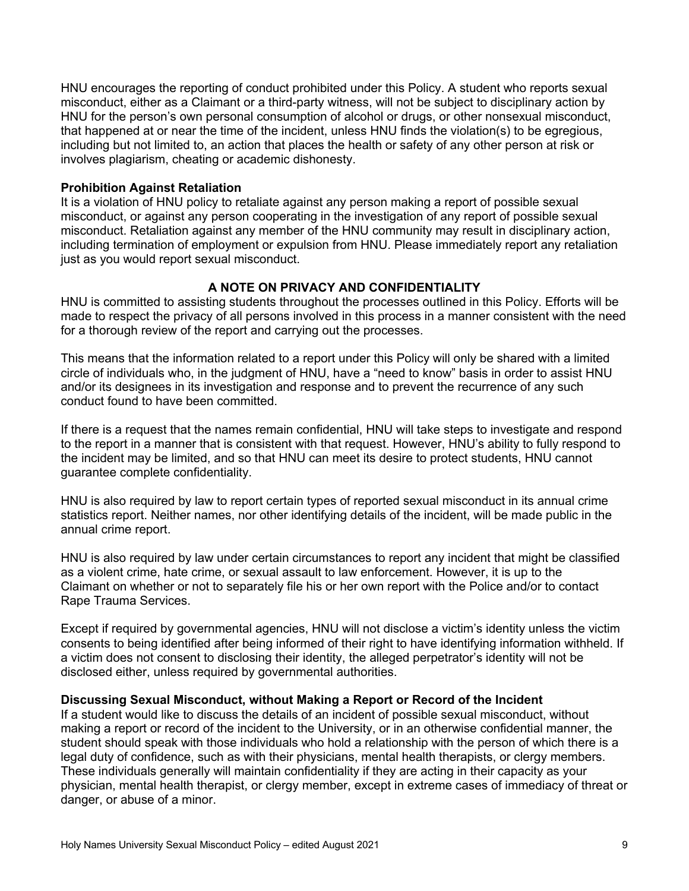HNU encourages the reporting of conduct prohibited under this Policy. A student who reports sexual misconduct, either as a Claimant or a third-party witness, will not be subject to disciplinary action by HNU for the person's own personal consumption of alcohol or drugs, or other nonsexual misconduct, that happened at or near the time of the incident, unless HNU finds the violation(s) to be egregious, including but not limited to, an action that places the health or safety of any other person at risk or involves plagiarism, cheating or academic dishonesty.

#### **Prohibition Against Retaliation**

It is a violation of HNU policy to retaliate against any person making a report of possible sexual misconduct, or against any person cooperating in the investigation of any report of possible sexual misconduct. Retaliation against any member of the HNU community may result in disciplinary action, including termination of employment or expulsion from HNU. Please immediately report any retaliation just as you would report sexual misconduct.

# **A NOTE ON PRIVACY AND CONFIDENTIALITY**

HNU is committed to assisting students throughout the processes outlined in this Policy. Efforts will be made to respect the privacy of all persons involved in this process in a manner consistent with the need for a thorough review of the report and carrying out the processes.

This means that the information related to a report under this Policy will only be shared with a limited circle of individuals who, in the judgment of HNU, have a "need to know" basis in order to assist HNU and/or its designees in its investigation and response and to prevent the recurrence of any such conduct found to have been committed.

If there is a request that the names remain confidential, HNU will take steps to investigate and respond to the report in a manner that is consistent with that request. However, HNU's ability to fully respond to the incident may be limited, and so that HNU can meet its desire to protect students, HNU cannot guarantee complete confidentiality.

HNU is also required by law to report certain types of reported sexual misconduct in its annual crime statistics report. Neither names, nor other identifying details of the incident, will be made public in the annual crime report.

HNU is also required by law under certain circumstances to report any incident that might be classified as a violent crime, hate crime, or sexual assault to law enforcement. However, it is up to the Claimant on whether or not to separately file his or her own report with the Police and/or to contact Rape Trauma Services.

Except if required by governmental agencies, HNU will not disclose a victim's identity unless the victim consents to being identified after being informed of their right to have identifying information withheld. If a victim does not consent to disclosing their identity, the alleged perpetrator's identity will not be disclosed either, unless required by governmental authorities.

### **Discussing Sexual Misconduct, without Making a Report or Record of the Incident**

If a student would like to discuss the details of an incident of possible sexual misconduct, without making a report or record of the incident to the University, or in an otherwise confidential manner, the student should speak with those individuals who hold a relationship with the person of which there is a legal duty of confidence, such as with their physicians, mental health therapists, or clergy members. These individuals generally will maintain confidentiality if they are acting in their capacity as your physician, mental health therapist, or clergy member, except in extreme cases of immediacy of threat or danger, or abuse of a minor.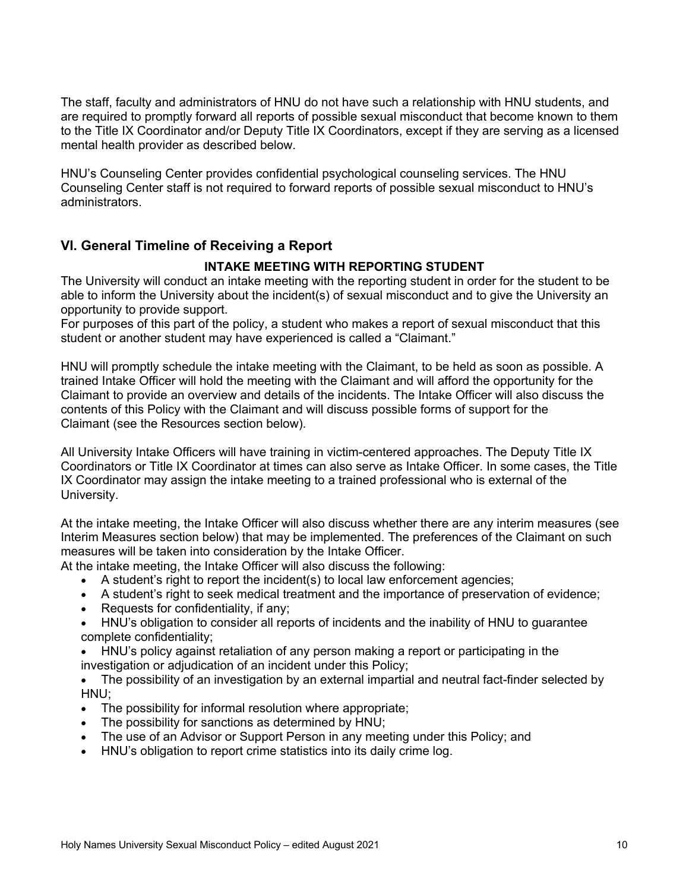The staff, faculty and administrators of HNU do not have such a relationship with HNU students, and are required to promptly forward all reports of possible sexual misconduct that become known to them to the Title IX Coordinator and/or Deputy Title IX Coordinators, except if they are serving as a licensed mental health provider as described below.

HNU's Counseling Center provides confidential psychological counseling services. The HNU Counseling Center staff is not required to forward reports of possible sexual misconduct to HNU's administrators.

# **VI. General Timeline of Receiving a Report**

### **INTAKE MEETING WITH REPORTING STUDENT**

The University will conduct an intake meeting with the reporting student in order for the student to be able to inform the University about the incident(s) of sexual misconduct and to give the University an opportunity to provide support.

For purposes of this part of the policy, a student who makes a report of sexual misconduct that this student or another student may have experienced is called a "Claimant."

HNU will promptly schedule the intake meeting with the Claimant, to be held as soon as possible. A trained Intake Officer will hold the meeting with the Claimant and will afford the opportunity for the Claimant to provide an overview and details of the incidents. The Intake Officer will also discuss the contents of this Policy with the Claimant and will discuss possible forms of support for the Claimant (see the Resources section below).

All University Intake Officers will have training in victim-centered approaches. The Deputy Title IX Coordinators or Title IX Coordinator at times can also serve as Intake Officer. In some cases, the Title IX Coordinator may assign the intake meeting to a trained professional who is external of the University.

At the intake meeting, the Intake Officer will also discuss whether there are any interim measures (see Interim Measures section below) that may be implemented. The preferences of the Claimant on such measures will be taken into consideration by the Intake Officer.

At the intake meeting, the Intake Officer will also discuss the following:

- A student's right to report the incident(s) to local law enforcement agencies;
- A student's right to seek medical treatment and the importance of preservation of evidence;
- Requests for confidentiality, if any;
- HNU's obligation to consider all reports of incidents and the inability of HNU to guarantee complete confidentiality;
- HNU's policy against retaliation of any person making a report or participating in the investigation or adjudication of an incident under this Policy;
- The possibility of an investigation by an external impartial and neutral fact-finder selected by HNU;
- The possibility for informal resolution where appropriate;
- The possibility for sanctions as determined by HNU;
- The use of an Advisor or Support Person in any meeting under this Policy; and
- HNU's obligation to report crime statistics into its daily crime log.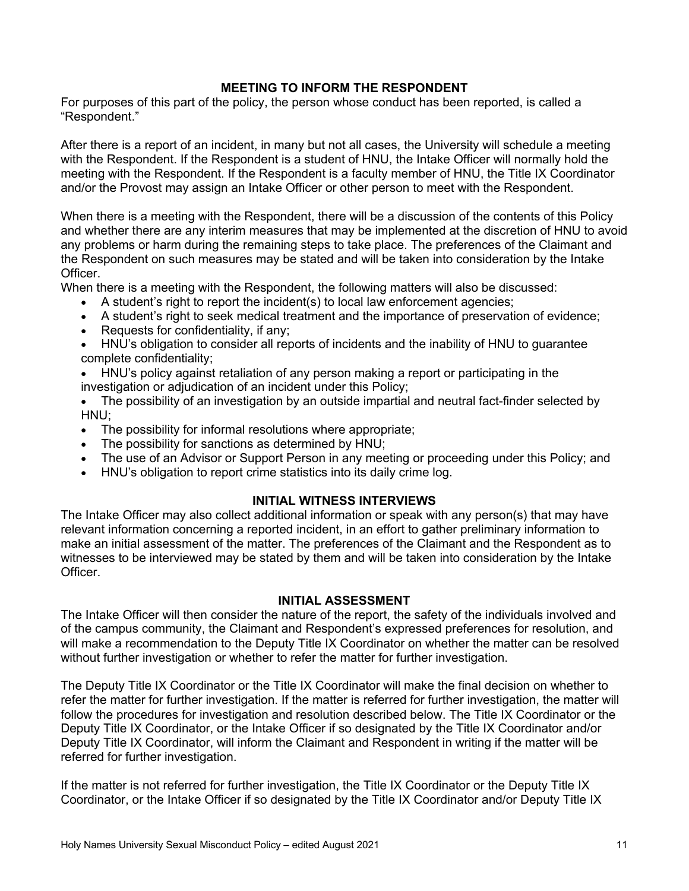### **MEETING TO INFORM THE RESPONDENT**

For purposes of this part of the policy, the person whose conduct has been reported, is called a "Respondent."

After there is a report of an incident, in many but not all cases, the University will schedule a meeting with the Respondent. If the Respondent is a student of HNU, the Intake Officer will normally hold the meeting with the Respondent. If the Respondent is a faculty member of HNU, the Title IX Coordinator and/or the Provost may assign an Intake Officer or other person to meet with the Respondent.

When there is a meeting with the Respondent, there will be a discussion of the contents of this Policy and whether there are any interim measures that may be implemented at the discretion of HNU to avoid any problems or harm during the remaining steps to take place. The preferences of the Claimant and the Respondent on such measures may be stated and will be taken into consideration by the Intake Officer.

When there is a meeting with the Respondent, the following matters will also be discussed:

- A student's right to report the incident(s) to local law enforcement agencies;
- A student's right to seek medical treatment and the importance of preservation of evidence;
- Requests for confidentiality, if any;
- HNU's obligation to consider all reports of incidents and the inability of HNU to guarantee complete confidentiality;
- HNU's policy against retaliation of any person making a report or participating in the investigation or adjudication of an incident under this Policy;
- The possibility of an investigation by an outside impartial and neutral fact-finder selected by HNU;
- The possibility for informal resolutions where appropriate;
- The possibility for sanctions as determined by HNU;
- The use of an Advisor or Support Person in any meeting or proceeding under this Policy; and
- HNU's obligation to report crime statistics into its daily crime log.

### **INITIAL WITNESS INTERVIEWS**

The Intake Officer may also collect additional information or speak with any person(s) that may have relevant information concerning a reported incident, in an effort to gather preliminary information to make an initial assessment of the matter. The preferences of the Claimant and the Respondent as to witnesses to be interviewed may be stated by them and will be taken into consideration by the Intake Officer.

#### **INITIAL ASSESSMENT**

The Intake Officer will then consider the nature of the report, the safety of the individuals involved and of the campus community, the Claimant and Respondent's expressed preferences for resolution, and will make a recommendation to the Deputy Title IX Coordinator on whether the matter can be resolved without further investigation or whether to refer the matter for further investigation.

The Deputy Title IX Coordinator or the Title IX Coordinator will make the final decision on whether to refer the matter for further investigation. If the matter is referred for further investigation, the matter will follow the procedures for investigation and resolution described below. The Title IX Coordinator or the Deputy Title IX Coordinator, or the Intake Officer if so designated by the Title IX Coordinator and/or Deputy Title IX Coordinator, will inform the Claimant and Respondent in writing if the matter will be referred for further investigation.

If the matter is not referred for further investigation, the Title IX Coordinator or the Deputy Title IX Coordinator, or the Intake Officer if so designated by the Title IX Coordinator and/or Deputy Title IX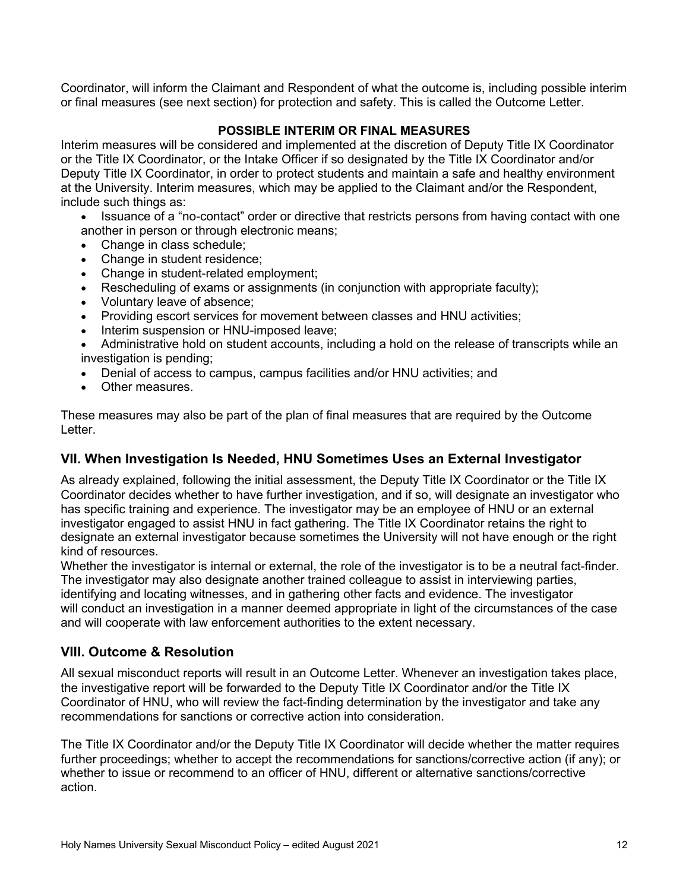Coordinator, will inform the Claimant and Respondent of what the outcome is, including possible interim or final measures (see next section) for protection and safety. This is called the Outcome Letter.

### **POSSIBLE INTERIM OR FINAL MEASURES**

Interim measures will be considered and implemented at the discretion of Deputy Title IX Coordinator or the Title IX Coordinator, or the Intake Officer if so designated by the Title IX Coordinator and/or Deputy Title IX Coordinator, in order to protect students and maintain a safe and healthy environment at the University. Interim measures, which may be applied to the Claimant and/or the Respondent, include such things as:

- Issuance of a "no-contact" order or directive that restricts persons from having contact with one another in person or through electronic means;
- Change in class schedule;
- Change in student residence;
- Change in student-related employment;
- Rescheduling of exams or assignments (in conjunction with appropriate faculty);
- Voluntary leave of absence;
- Providing escort services for movement between classes and HNU activities;
- Interim suspension or HNU-imposed leave;
- Administrative hold on student accounts, including a hold on the release of transcripts while an investigation is pending;
- Denial of access to campus, campus facilities and/or HNU activities; and
- Other measures.

These measures may also be part of the plan of final measures that are required by the Outcome Letter.

### **VII. When Investigation Is Needed, HNU Sometimes Uses an External Investigator**

As already explained, following the initial assessment, the Deputy Title IX Coordinator or the Title IX Coordinator decides whether to have further investigation, and if so, will designate an investigator who has specific training and experience. The investigator may be an employee of HNU or an external investigator engaged to assist HNU in fact gathering. The Title IX Coordinator retains the right to designate an external investigator because sometimes the University will not have enough or the right kind of resources.

Whether the investigator is internal or external, the role of the investigator is to be a neutral fact-finder. The investigator may also designate another trained colleague to assist in interviewing parties, identifying and locating witnesses, and in gathering other facts and evidence. The investigator will conduct an investigation in a manner deemed appropriate in light of the circumstances of the case and will cooperate with law enforcement authorities to the extent necessary.

# **VIII. Outcome & Resolution**

All sexual misconduct reports will result in an Outcome Letter. Whenever an investigation takes place, the investigative report will be forwarded to the Deputy Title IX Coordinator and/or the Title IX Coordinator of HNU, who will review the fact-finding determination by the investigator and take any recommendations for sanctions or corrective action into consideration.

The Title IX Coordinator and/or the Deputy Title IX Coordinator will decide whether the matter requires further proceedings; whether to accept the recommendations for sanctions/corrective action (if any); or whether to issue or recommend to an officer of HNU, different or alternative sanctions/corrective action.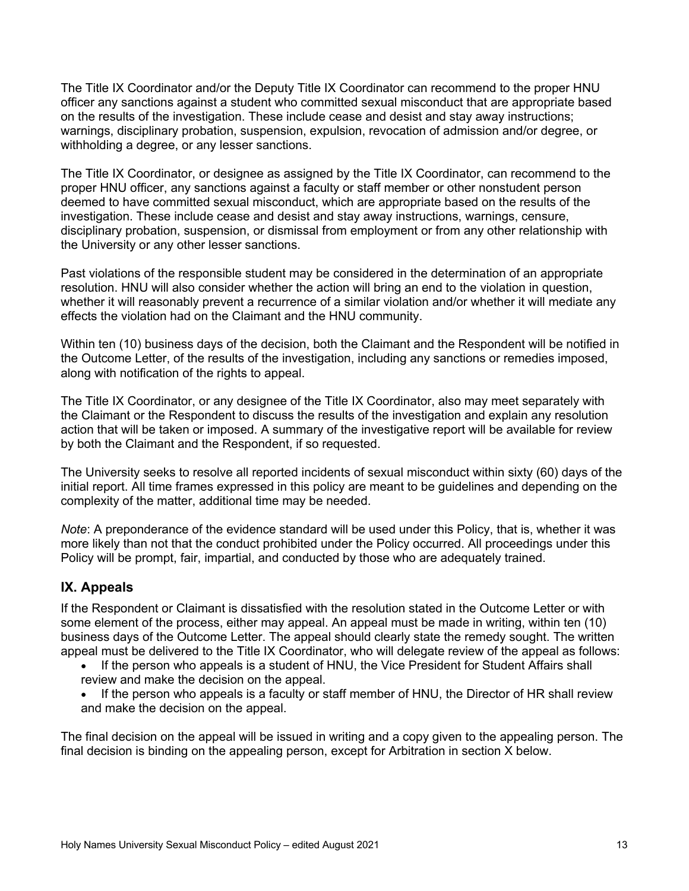The Title IX Coordinator and/or the Deputy Title IX Coordinator can recommend to the proper HNU officer any sanctions against a student who committed sexual misconduct that are appropriate based on the results of the investigation. These include cease and desist and stay away instructions; warnings, disciplinary probation, suspension, expulsion, revocation of admission and/or degree, or withholding a degree, or any lesser sanctions.

The Title IX Coordinator, or designee as assigned by the Title IX Coordinator, can recommend to the proper HNU officer, any sanctions against a faculty or staff member or other nonstudent person deemed to have committed sexual misconduct, which are appropriate based on the results of the investigation. These include cease and desist and stay away instructions, warnings, censure, disciplinary probation, suspension, or dismissal from employment or from any other relationship with the University or any other lesser sanctions.

Past violations of the responsible student may be considered in the determination of an appropriate resolution. HNU will also consider whether the action will bring an end to the violation in question, whether it will reasonably prevent a recurrence of a similar violation and/or whether it will mediate any effects the violation had on the Claimant and the HNU community.

Within ten (10) business days of the decision, both the Claimant and the Respondent will be notified in the Outcome Letter, of the results of the investigation, including any sanctions or remedies imposed, along with notification of the rights to appeal.

The Title IX Coordinator, or any designee of the Title IX Coordinator, also may meet separately with the Claimant or the Respondent to discuss the results of the investigation and explain any resolution action that will be taken or imposed. A summary of the investigative report will be available for review by both the Claimant and the Respondent, if so requested.

The University seeks to resolve all reported incidents of sexual misconduct within sixty (60) days of the initial report. All time frames expressed in this policy are meant to be guidelines and depending on the complexity of the matter, additional time may be needed.

*Note*: A preponderance of the evidence standard will be used under this Policy, that is, whether it was more likely than not that the conduct prohibited under the Policy occurred. All proceedings under this Policy will be prompt, fair, impartial, and conducted by those who are adequately trained.

# **IX. Appeals**

If the Respondent or Claimant is dissatisfied with the resolution stated in the Outcome Letter or with some element of the process, either may appeal. An appeal must be made in writing, within ten (10) business days of the Outcome Letter. The appeal should clearly state the remedy sought. The written appeal must be delivered to the Title IX Coordinator, who will delegate review of the appeal as follows:

- If the person who appeals is a student of HNU, the Vice President for Student Affairs shall review and make the decision on the appeal.
- If the person who appeals is a faculty or staff member of HNU, the Director of HR shall review and make the decision on the appeal.

The final decision on the appeal will be issued in writing and a copy given to the appealing person. The final decision is binding on the appealing person, except for Arbitration in section X below.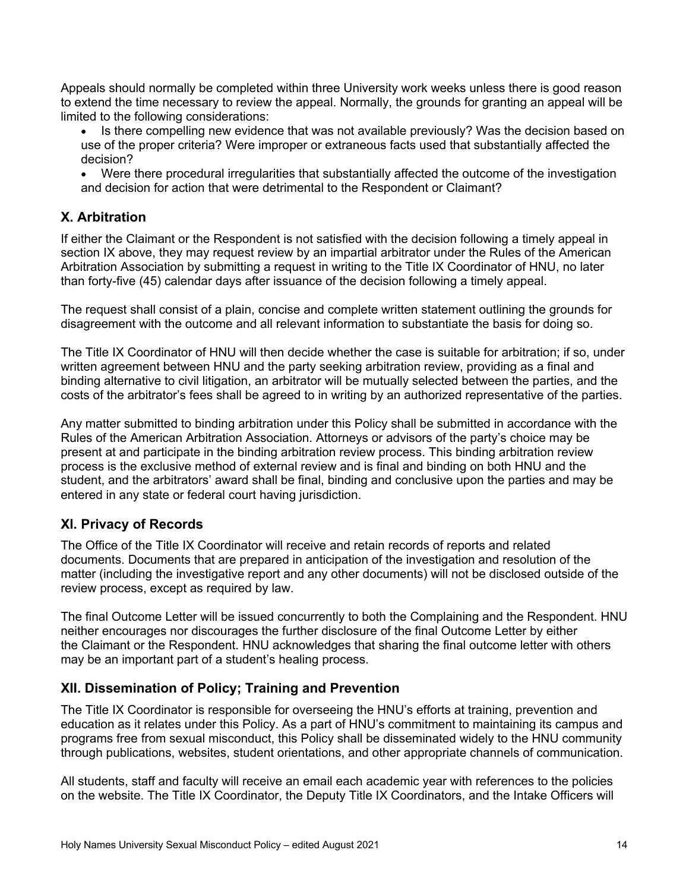Appeals should normally be completed within three University work weeks unless there is good reason to extend the time necessary to review the appeal. Normally, the grounds for granting an appeal will be limited to the following considerations:

- Is there compelling new evidence that was not available previously? Was the decision based on use of the proper criteria? Were improper or extraneous facts used that substantially affected the decision?
- Were there procedural irregularities that substantially affected the outcome of the investigation and decision for action that were detrimental to the Respondent or Claimant?

# **X. Arbitration**

If either the Claimant or the Respondent is not satisfied with the decision following a timely appeal in section IX above, they may request review by an impartial arbitrator under the Rules of the American Arbitration Association by submitting a request in writing to the Title IX Coordinator of HNU, no later than forty-five (45) calendar days after issuance of the decision following a timely appeal.

The request shall consist of a plain, concise and complete written statement outlining the grounds for disagreement with the outcome and all relevant information to substantiate the basis for doing so.

The Title IX Coordinator of HNU will then decide whether the case is suitable for arbitration; if so, under written agreement between HNU and the party seeking arbitration review, providing as a final and binding alternative to civil litigation, an arbitrator will be mutually selected between the parties, and the costs of the arbitrator's fees shall be agreed to in writing by an authorized representative of the parties.

Any matter submitted to binding arbitration under this Policy shall be submitted in accordance with the Rules of the American Arbitration Association. Attorneys or advisors of the party's choice may be present at and participate in the binding arbitration review process. This binding arbitration review process is the exclusive method of external review and is final and binding on both HNU and the student, and the arbitrators' award shall be final, binding and conclusive upon the parties and may be entered in any state or federal court having jurisdiction.

# **XI. Privacy of Records**

The Office of the Title IX Coordinator will receive and retain records of reports and related documents. Documents that are prepared in anticipation of the investigation and resolution of the matter (including the investigative report and any other documents) will not be disclosed outside of the review process, except as required by law.

The final Outcome Letter will be issued concurrently to both the Complaining and the Respondent. HNU neither encourages nor discourages the further disclosure of the final Outcome Letter by either the Claimant or the Respondent. HNU acknowledges that sharing the final outcome letter with others may be an important part of a student's healing process.

# **XII. Dissemination of Policy; Training and Prevention**

The Title IX Coordinator is responsible for overseeing the HNU's efforts at training, prevention and education as it relates under this Policy. As a part of HNU's commitment to maintaining its campus and programs free from sexual misconduct, this Policy shall be disseminated widely to the HNU community through publications, websites, student orientations, and other appropriate channels of communication.

All students, staff and faculty will receive an email each academic year with references to the policies on the website. The Title IX Coordinator, the Deputy Title IX Coordinators, and the Intake Officers will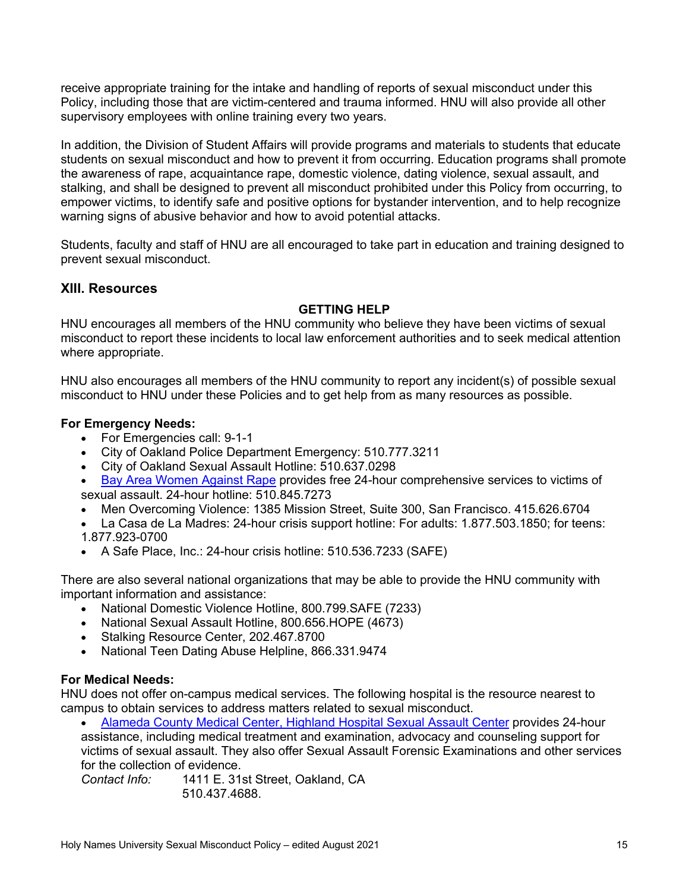receive appropriate training for the intake and handling of reports of sexual misconduct under this Policy, including those that are victim-centered and trauma informed. HNU will also provide all other supervisory employees with online training every two years.

In addition, the Division of Student Affairs will provide programs and materials to students that educate students on sexual misconduct and how to prevent it from occurring. Education programs shall promote the awareness of rape, acquaintance rape, domestic violence, dating violence, sexual assault, and stalking, and shall be designed to prevent all misconduct prohibited under this Policy from occurring, to empower victims, to identify safe and positive options for bystander intervention, and to help recognize warning signs of abusive behavior and how to avoid potential attacks.

Students, faculty and staff of HNU are all encouraged to take part in education and training designed to prevent sexual misconduct.

# **XIII. Resources**

### **GETTING HELP**

HNU encourages all members of the HNU community who believe they have been victims of sexual misconduct to report these incidents to local law enforcement authorities and to seek medical attention where appropriate.

HNU also encourages all members of the HNU community to report any incident(s) of possible sexual misconduct to HNU under these Policies and to get help from as many resources as possible.

### **For Emergency Needs:**

- For Emergencies call: 9-1-1
- City of Oakland Police Department Emergency: 510.777.3211
- City of Oakland Sexual Assault Hotline: 510.637.0298
- Bay Area Women Against Rape provides free 24-hour comprehensive services to victims of sexual assault. 24-hour hotline: 510.845.7273
- Men Overcoming Violence: 1385 Mission Street, Suite 300, San Francisco. 415.626.6704
- La Casa de La Madres: 24-hour crisis support hotline: For adults: 1.877.503.1850; for teens: 1.877.923-0700
- A Safe Place, Inc.: 24-hour crisis hotline: 510.536.7233 (SAFE)

There are also several national organizations that may be able to provide the HNU community with important information and assistance:

- National Domestic Violence Hotline, 800.799.SAFE (7233)
- National Sexual Assault Hotline, 800.656.HOPE (4673)
- Stalking Resource Center, 202.467.8700
- National Teen Dating Abuse Helpline, 866.331.9474

### **For Medical Needs:**

HNU does not offer on-campus medical services. The following hospital is the resource nearest to campus to obtain services to address matters related to sexual misconduct.

• Alameda County Medical Center, Highland Hospital Sexual Assault Center provides 24-hour assistance, including medical treatment and examination, advocacy and counseling support for victims of sexual assault. They also offer Sexual Assault Forensic Examinations and other services for the collection of evidence.

*Contact Info:* 1411 E. 31st Street, Oakland, CA 510.437.4688.